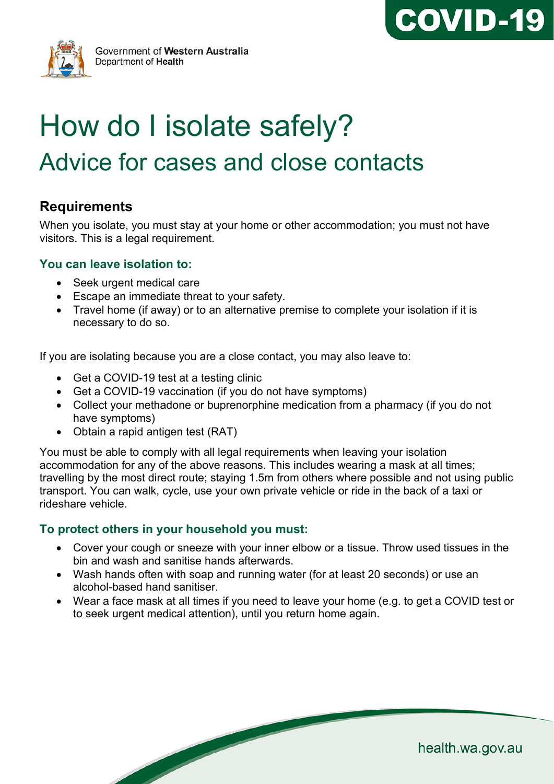



Government of Western Australia Department of Health

# How do I isolate safely? Advice for cases and close contacts

## **Requirements**

When you isolate, you must stay at your home or other accommodation; you must not have visitors. This is a legal requirement.

#### **You can leave isolation to:**

- Seek urgent medical care
- Escape an immediate threat to your safety.
- Travel home (if away) or to an alternative premise to complete your isolation if it is necessary to do so.

If you are isolating because you are a close contact, you may also leave to:

- Get a COVID-19 test at a testing clinic
- Get a COVID-19 vaccination (if you do not have symptoms)
- Collect your methadone or buprenorphine medication from a pharmacy (if you do not have symptoms)
- Obtain a rapid antigen test (RAT)

You must be able to comply with all legal requirements when leaving your isolation accommodation for any of the above reasons. This includes wearing a mask at all times; travelling by the most direct route; staying 1.5m from others where possible and not using public transport. You can walk, cycle, use your own private vehicle or ride in the back of a taxi or rideshare vehicle.

## **To protect others in your household you must:**

**South Contract Contract Contract Contract Contract Contract Contract Contract Contract Contract Contract Contract Contract Contract Contract Contract Contract Contract Contract Contract Contract Contract Contract Contract** 

- Cover your cough or sneeze with your inner elbow or a tissue. Throw used tissues in the bin and wash and sanitise hands afterwards.
- Wash hands often with soap and running water (for at least 20 seconds) or use an alcohol-based hand sanitiser.
- Wear a face mask at all times if you need to leave your home (e.g. to get a COVID test or to seek urgent medical attention), until you return home again.

health.wa.gov.au